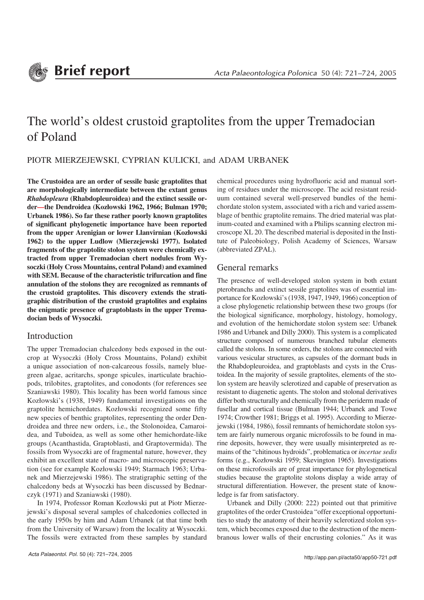

# The world's oldest crustoid graptolites from the upper Tremadocian of Poland

## PIOTR MIERZEJEWSKI, CYPRIAN KULICKI, and ADAM URBANEK

**The Crustoidea are an order of sessile basic graptolites that are morphologically intermediate between the extant genus** *Rhabdopleura* **(Rhabdopleuroidea) and the extinct sessile or− der—the Dendroidea (Kozłowski 1962, 1966; Bulman 1970; Urbanek 1986). So far these rather poorly known graptolites of significant phylogenetic importance have been reported from the upper Arenigian or lower Llanvirnian (Kozłowski 1962) to the upper Ludlow (Mierzejewski 1977). Isolated fragments of the graptolite stolon system were chemically ex− tracted from upper Tremadocian chert nodules from Wy− soczki (Holy Cross Mountains, central Poland) and examined with SEM. Because of the characteristic trifurcation and fine annulation of the stolons they are recognized as remnants of the crustoid graptolites. This discovery extends the strati− graphic distribution of the crustoid graptolites and explains the enigmatic presence of graptoblasts in the upper Trema− docian beds of Wysoczki.**

#### Introduction

The upper Tremadocian chalcedony beds exposed in the out− crop at Wysoczki (Holy Cross Mountains, Poland) exhibit a unique association of non−calcareous fossils, namely blue− green algae, acritarchs, sponge spicules, inarticulate brachio− pods, trilobites, graptolites, and conodonts (for references see Szaniawski 1980). This locality has been world famous since Kozłowski's (1938, 1949) fundamental investigations on the graptolite hemichordates. Kozłowski recognized some fifty new species of benthic graptolites, representing the order Den− droidea and three new orders, i.e., the Stolonoidea, Camaroi− dea, and Tuboidea, as well as some other hemichordate−like groups (Acanthastida, Graptoblasti, and Graptovermida). The fossils from Wysoczki are of fragmental nature, however, they exhibit an excellent state of macro− and microscopic preserva− tion (see for example Kozłowski 1949; Starmach 1963; Urba− nek and Mierzejewski 1986). The stratigraphic setting of the chalcedony beds at Wysoczki has been discussed by Bednar− czyk (1971) and Szaniawski (1980).

In 1974, Professor Roman Kozłowski put at Piotr Mierze− jewski's disposal several samples of chalcedonies collected in the early 1950s by him and Adam Urbanek (at that time both from the University of Warsaw) from the locality at Wysoczki. The fossils were extracted from these samples by standard chemical procedures using hydrofluoric acid and manual sort− ing of residues under the microscope. The acid resistant resid− uum contained several well−preserved bundles of the hemi− chordate stolon system, associated with a rich and varied assem− blage of benthic graptolite remains. The dried material was plat− inum−coated and examined with a Philips scanning electron mi− croscope XL 20. The described material is deposited in the Insti− tute of Paleobiology, Polish Academy of Sciences, Warsaw (abbreviated ZPAL).

## General remarks

The presence of well−developed stolon system in both extant pterobranchs and extinct sessile graptolites was of essential im− portance for Kozłowski's (1938, 1947, 1949, 1966) conception of a close phylogenetic relationship between these two groups (for the biological significance, morphology, histology, homology, and evolution of the hemichordate stolon system see: Urbanek 1986 and Urbanek and Dilly 2000). This system is a complicated structure composed of numerous branched tubular elements called the stolons. In some orders, the stolons are connected with various vesicular structures, as capsules of the dormant buds in the Rhabdopleuroidea, and graptoblasts and cysts in the Crus− toidea. In the majority of sessile graptolites, elements of the sto− lon system are heavily sclerotized and capable of preservation as resistant to diagenetic agents. The stolon and stolonal derivatives differ both structurally and chemically from the periderm made of fusellar and cortical tissue (Bulman 1944; Urbanek and Towe 1974; Crowther 1981; Briggs et al. 1995). According to Mierze− jewski (1984, 1986), fossil remnants of hemichordate stolon sys− tem are fairly numerous organic microfossils to be found in ma− rine deposits, however, they were usually misinterpreted as re− mains of the "chitinous hydroids", problematica or *incertae sedis* forms (e.g., Kozłowski 1959; Skevington 1965). Investigations on these microfossils are of great importance for phylogenetical studies because the graptolite stolons display a wide array of structural differentiation. However, the present state of know− ledge is far from satisfactory.

Urbanek and Dilly (2000: 222) pointed out that primitive graptolites of the order Crustoidea "offer exceptional opportuni− ties to study the anatomy of their heavily sclerotized stolon sys− tem, which becomes exposed due to the destruction of the mem− branous lower walls of their encrusting colonies." As it was

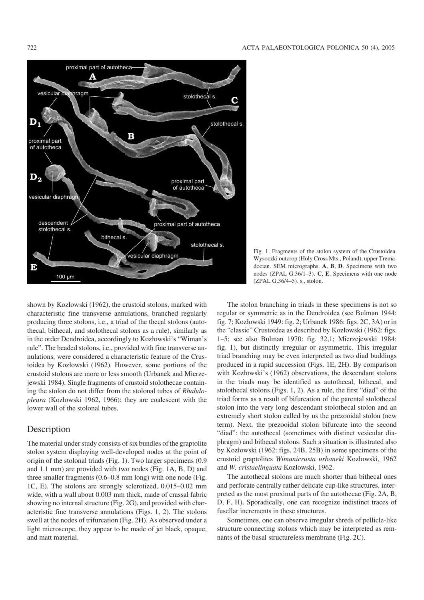

Fig. 1. Fragments of the stolon system of the Crustoidea. Wysoczki outcrop (Holy Cross Mts., Poland), upper Trema− docian. SEM micrographs. **A**, **B**, **D**. Specimens with two nodes (ZPAL G.36/1–3). **C**, **E**. Specimens with one node (ZPAL G.36/4–5). s., stolon.

shown by Kozłowski (1962), the crustoid stolons, marked with characteristic fine transverse annulations, branched regularly producing three stolons, i.e., a triad of the thecal stolons (auto− thecal, bithecal, and stolothecal stolons as a rule), similarly as in the order Dendroidea, accordingly to Kozłowski's "Wiman's rule". The beaded stolons, i.e., provided with fine transverse an− nulations, were considered a characteristic feature of the Crus− toidea by Kozłowski (1962). However, some portions of the crustoid stolons are more or less smooth (Urbanek and Mierze− jewski 1984). Single fragments of crustoid stolothecae contain− ing the stolon do not differ from the stolonal tubes of *Rhabdo− pleura* (Kozłowski 1962, 1966): they are coalescent with the lower wall of the stolonal tubes.

### Description

The material under study consists of six bundles of the graptolite stolon system displaying well−developed nodes at the point of origin of the stolonal triads (Fig. 1). Two larger specimens (0.9 and 1.1 mm) are provided with two nodes (Fig. 1A, B, D) and three smaller fragments (0.6–0.8 mm long) with one node (Fig. 1C, E). The stolons are strongly sclerotized, 0.015–0.02 mm wide, with a wall about 0.003 mm thick, made of crassal fabric showing no internal structure (Fig. 2G), and provided with char− acteristic fine transverse annulations (Figs. 1, 2). The stolons swell at the nodes of trifurcation (Fig. 2H). As observed under a light microscope, they appear to be made of jet black, opaque, and matt material.

The stolon branching in triads in these specimens is not so regular or symmetric as in the Dendroidea (see Bulman 1944: fig. 7; Kozłowski 1949: fig. 2; Urbanek 1986: figs. 2C, 3A) or in the "classic" Crustoidea as described by Kozłowski (1962: figs. 1–5; see also Bulman 1970: fig. 32,1; Mierzejewski 1984: fig. 1), but distinctly irregular or asymmetric. This irregular triad branching may be even interpreted as two diad buddings produced in a rapid succession (Figs. 1E, 2H). By comparison with Kozłowski's (1962) observations, the descendant stolons in the triads may be identified as autothecal, bithecal, and stolothecal stolons (Figs. 1, 2). As a rule, the first "diad" of the triad forms as a result of bifurcation of the parental stolothecal stolon into the very long descendant stolothecal stolon and an extremely short stolon called by us the prezooidal stolon (new term). Next, the prezooidal stolon bifurcate into the second "diad": the autothecal (sometimes with distinct vesicular dia− phragm) and bithecal stolons. Such a situation is illustrated also by Kozłowski (1962: figs. 24B, 25B) in some specimens of the crustoid graptolites *Wimanicrusta urbaneki* Kozłowski, 1962 and *W. cristaelinguata* Kozłowski, 1962.

The autothecal stolons are much shorter than bithecal ones and perforate centrally rather delicate cup−like structures, inter− preted as the most proximal parts of the autothecae (Fig. 2A, B, D, F, H). Sporadically, one can recognize indistinct traces of fusellar increments in these structures.

Sometimes, one can observe irregular shreds of pellicle−like structure connecting stolons which may be interpreted as rem− nants of the basal structureless membrane (Fig. 2C).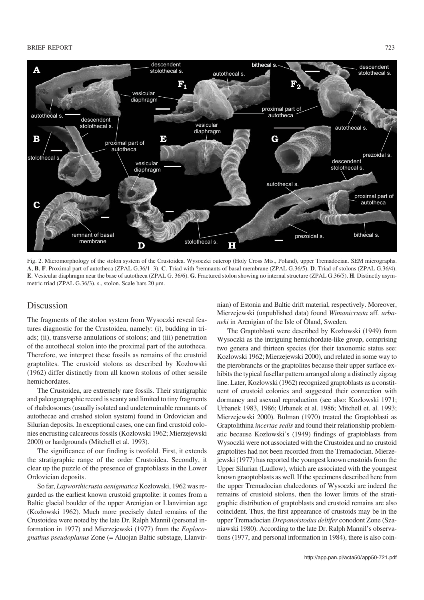#### BRIEF REPORT 223



Fig. 2. Micromorphology of the stolon system of the Crustoidea. Wysoczki outcrop (Holy Cross Mts., Poland), upper Tremadocian. SEM micrographs. **A**, **B**, **F**. Proximal part of autotheca (ZPAL G.36/1–3). **C**. Triad with ?remnants of basal membrane (ZPAL G.36/5). **D**. Triad of stolons (ZPAL G.36/4). **E**. Vesicular diaphragm near the base of autotheca (ZPAL G. 36/6). **G**. Fractured stolon showing no internal structure (ZPAL G.36/5). **H**. Distinctly asym− metric triad (ZPAL G.36/3). s., stolon. Scale bars 20  $\mu$ m.

#### Discussion

The fragments of the stolon system from Wysoczki reveal fea− tures diagnostic for the Crustoidea, namely: (i), budding in tri− ads; (ii), transverse annulations of stolons; and (iii) penetration of the autothecal stolon into the proximal part of the autotheca. Therefore, we interpret these fossils as remains of the crustoid graptolites. The crustoid stolons as described by Kozłowski (1962) differ distinctly from all known stolons of other sessile hemichordates.

The Crustoidea, are extremely rare fossils. Their stratigraphic and paleogeographic record is scanty and limited to tiny fragments of rhabdosomes (usually isolated and undeterminable remnants of autothecae and crushed stolon system) found in Ordovician and Silurian deposits. In exceptional cases, one can find crustoid colo− nies encrusting calcareous fossils (Kozłowski 1962; Mierzejewski 2000) or hardgrounds (Mitchell et al. 1993).

The significance of our finding is twofold. First, it extends the stratigraphic range of the order Crustoidea. Secondly, it clear up the puzzle of the presence of graptoblasts in the Lower Ordovician deposits.

So far, *Lapworthicrusta aenigmatica* Kozłowski, 1962 was re− garded as the earliest known crustoid graptolite: it comes from a Baltic glacial boulder of the upper Arenigian or Llanvirnian age (Kozłowski 1962). Much more precisely dated remains of the Crustoidea were noted by the late Dr. Ralph Mannil (personal in− formation in 1977) and Mierzejewski (1977) from the *Eoplaco− gnathus pseudoplanus* Zone (= Aluojan Baltic substage, Llanvir−

nian) of Estonia and Baltic drift material, respectively. Moreover, Mierzejewski (unpublished data) found *Wimanicrusta* aff*. urba− neki* in Arenigian of the Isle of Öland, Sweden.

The Graptoblasti were described by Kozłowski (1949) from Wysoczki as the intriguing hemichordate−like group, comprising two genera and thirteen species (for their taxonomic status see: Kozłowski 1962; Mierzejewski 2000), and related in some way to the pterobranchs or the graptolites because their upper surface ex− hibits the typical fusellar pattern arranged along a distinctly zigzag line. Later, Kozłowski (1962) recognized graptoblasts as a constit− uent of crustoid colonies and suggested their connection with dormancy and asexual reproduction (see also: Kozłowski 1971; Urbanek 1983, 1986; Urbanek et al. 1986; Mitchell et. al. 1993; Mierzejewski 2000). Bulman (1970) treated the Graptoblasti as Graptolithina *incertae sedis* and found their relationship problem− atic because Kozłowski's (1949) findings of graptoblasts from Wysoczki were not associated with the Crustoidea and no crustoid graptolites had not been recorded from the Tremadocian. Mierze− jewski (1977) has reported the youngest known crustoids from the Upper Silurian (Ludlow), which are associated with the youngest known graoptoblasts as well. If the specimens described here from the upper Tremadocian chalcedones of Wysoczki are indeed the remains of crustoid stolons, then the lower limits of the strati− graphic distribution of graptoblasts and crustoid remains are also coincident. Thus, the first appearance of crustoids may be in the upper Tremadocian *Drepanoistodus deltifer* conodont Zone (Sza− niawski 1980). According to the late Dr. Ralph Mannil's observa− tions (1977, and personal information in 1984), there is also coin−